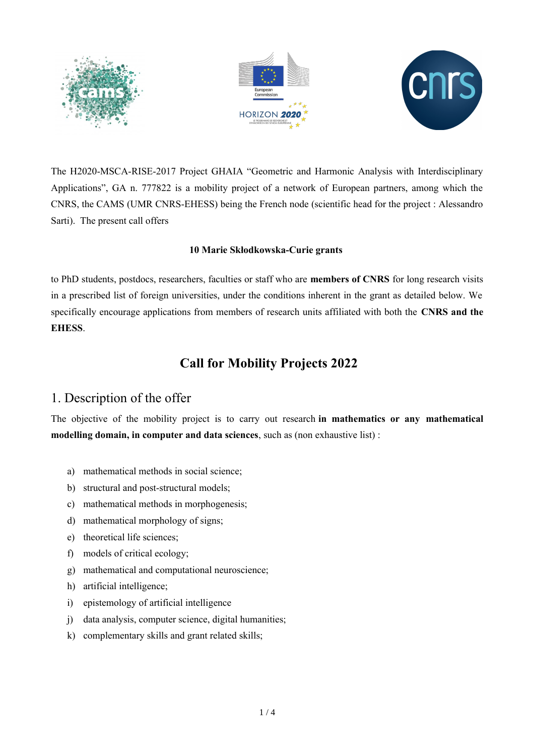





The H2020-MSCA-RISE-2017 Project GHAIA "Geometric and Harmonic Analysis with Interdisciplinary Applications", GA n. 777822 is a mobility project of a network of European partners, among which the CNRS, the CAMS (UMR CNRS-EHESS) being the French node (scientific head for the project : Alessandro Sarti). The present call offers

#### **10 Marie Skłodkowska-Curie grants**

to PhD students, postdocs, researchers, faculties or staff who are **members of CNRS** for long research visits in a prescribed list of foreign universities, under the conditions inherent in the grant as detailed below. We specifically encourage applications from members of research units affiliated with both the **CNRS and the EHESS**.

# **Call for Mobility Projects 2022**

## 1. Description of the offer

The objective of the mobility project is to carry out research **in mathematics or any mathematical modelling domain, in computer and data sciences**, such as (non exhaustive list) :

- a) mathematical methods in social science;
- b) structural and post-structural models;
- c) mathematical methods in morphogenesis;
- d) mathematical morphology of signs;
- e) theoretical life sciences;
- f) models of critical ecology;
- g) mathematical and computational neuroscience;
- h) artificial intelligence;
- i) epistemology of artificial intelligence
- j) data analysis, computer science, digital humanities;
- k) complementary skills and grant related skills;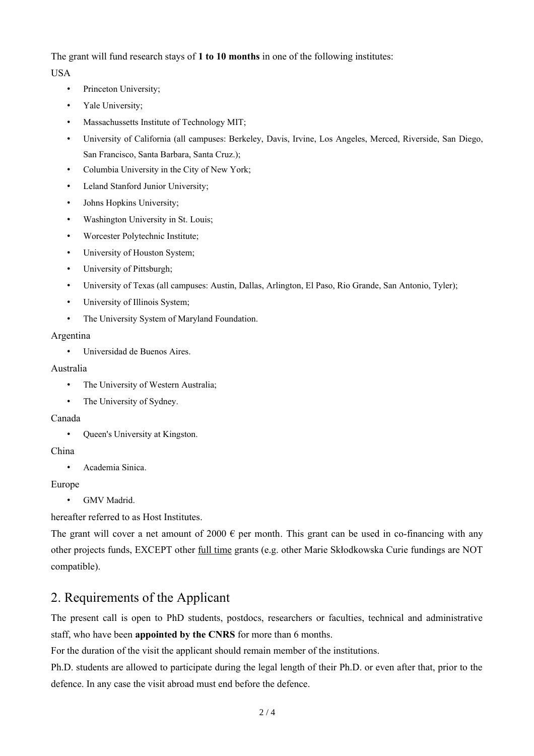The grant will fund research stays of **1 to 10 months** in one of the following institutes:

USA

- Princeton University;
- Yale University;
- Massachussetts Institute of Technology MIT;
- University of California (all campuses: Berkeley, Davis, Irvine, Los Angeles, Merced, Riverside, San Diego, San Francisco, Santa Barbara, Santa Cruz.);
- Columbia University in the City of New York;
- Leland Stanford Junior University;
- Johns Hopkins University;
- Washington University in St. Louis;
- Worcester Polytechnic Institute;
- University of Houston System;
- University of Pittsburgh;
- University of Texas (all campuses: Austin, Dallas, Arlington, El Paso, Rio Grande, San Antonio, Tyler);
- University of Illinois System:
- The University System of Maryland Foundation.

#### Argentina

• Universidad de Buenos Aires.

#### Australia

- The University of Western Australia;
- The University of Sydney.

#### Canada

• Queen's University at Kingston.

### China

• Academia Sinica.

### Europe

• GMV Madrid.

hereafter referred to as Host Institutes.

The grant will cover a net amount of 2000  $\epsilon$  per month. This grant can be used in co-financing with any other projects funds, EXCEPT other full time grants (e.g. other Marie Skłodkowska Curie fundings are NOT compatible).

# 2. Requirements of the Applicant

The present call is open to PhD students, postdocs, researchers or faculties, technical and administrative staff, who have been **appointed by the CNRS** for more than 6 months.

For the duration of the visit the applicant should remain member of the institutions.

Ph.D. students are allowed to participate during the legal length of their Ph.D. or even after that, prior to the defence. In any case the visit abroad must end before the defence.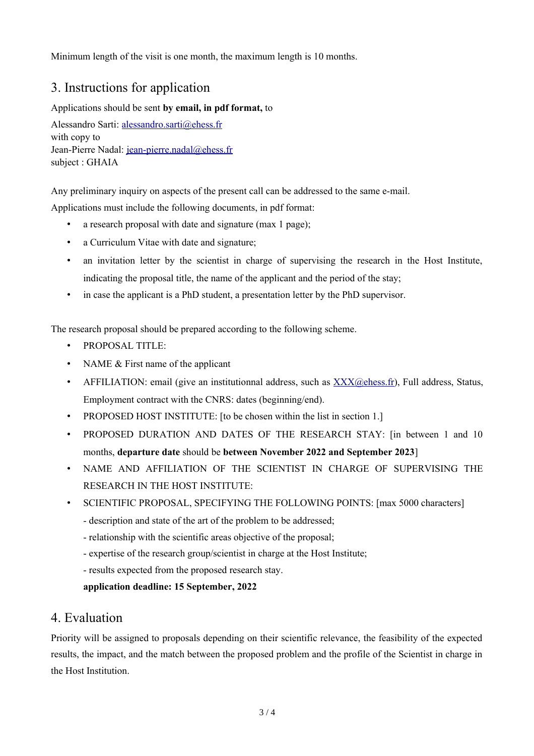Minimum length of the visit is one month, the maximum length is 10 months.

# 3. Instructions for application

### Applications should be sent **by email, in pdf format,** to

Alessandro Sarti: [alessandro.sarti@ehess.fr](mailto:alessandro.sarti@ehess.fr) with copy to Jean-Pierre Nadal: [jean-pierre.nadal@ehess.fr](mailto:jean-pierre.nadal@ehess.fr) subject : GHAIA

Any preliminary inquiry on aspects of the present call can be addressed to the same e-mail. Applications must include the following documents, in pdf format:

- a research proposal with date and signature (max 1 page);
- a Curriculum Vitae with date and signature;
- an invitation letter by the scientist in charge of supervising the research in the Host Institute, indicating the proposal title, the name of the applicant and the period of the stay;
- in case the applicant is a PhD student, a presentation letter by the PhD supervisor.

The research proposal should be prepared according to the following scheme.

- PROPOSAL TITLE:
- NAME & First name of the applicant
- AFFILIATION: email (give an institutionnal address, such as  $\overline{XXX}$  ( $\phi$ ) energies, Status, Status, Employment contract with the CNRS: dates (beginning/end).
- PROPOSED HOST INSTITUTE: [to be chosen within the list in section 1.]
- PROPOSED DURATION AND DATES OF THE RESEARCH STAY: [in between 1 and 10 months, **departure date** should be **between November 2022 and September 2023**]
- NAME AND AFFILIATION OF THE SCIENTIST IN CHARGE OF SUPERVISING THE RESEARCH IN THE HOST INSTITUTE:
- SCIENTIFIC PROPOSAL, SPECIFYING THE FOLLOWING POINTS: [max 5000 characters]
	- description and state of the art of the problem to be addressed;
	- relationship with the scientific areas objective of the proposal;
	- expertise of the research group/scientist in charge at the Host Institute;
	- results expected from the proposed research stay.

**application deadline: 15 September, 2022**

### 4. Evaluation

Priority will be assigned to proposals depending on their scientific relevance, the feasibility of the expected results, the impact, and the match between the proposed problem and the profile of the Scientist in charge in the Host Institution.